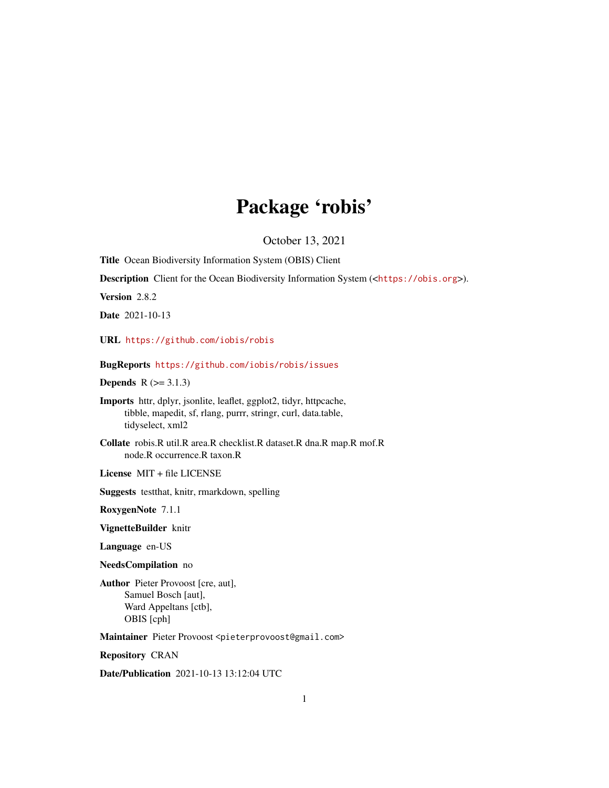# Package 'robis'

October 13, 2021

Title Ocean Biodiversity Information System (OBIS) Client

Description Client for the Ocean Biodiversity Information System (<<https://obis.org>>).

Version 2.8.2

Date 2021-10-13

URL <https://github.com/iobis/robis>

BugReports <https://github.com/iobis/robis/issues>

**Depends**  $R$  ( $>= 3.1.3$ )

Imports httr, dplyr, jsonlite, leaflet, ggplot2, tidyr, httpcache, tibble, mapedit, sf, rlang, purrr, stringr, curl, data.table, tidyselect, xml2

Collate robis.R util.R area.R checklist.R dataset.R dna.R map.R mof.R node.R occurrence.R taxon.R

License MIT + file LICENSE

Suggests testthat, knitr, rmarkdown, spelling

RoxygenNote 7.1.1

VignetteBuilder knitr

Language en-US

NeedsCompilation no

Author Pieter Provoost [cre, aut], Samuel Bosch [aut], Ward Appeltans [ctb], OBIS [cph]

Maintainer Pieter Provoost <pieterprovoost@gmail.com>

Repository CRAN

Date/Publication 2021-10-13 13:12:04 UTC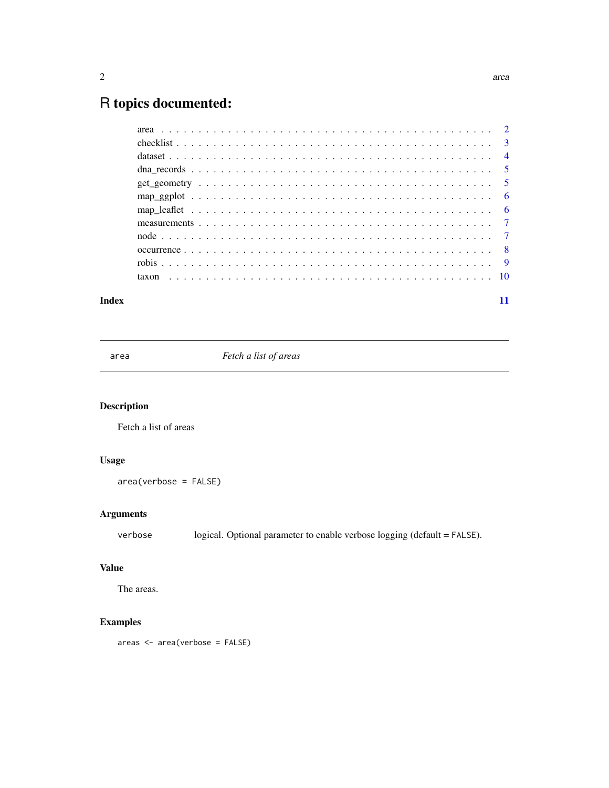# <span id="page-1-0"></span>R topics documented:

#### **Index** [11](#page-10-0)

area *Fetch a list of areas*

#### Description

Fetch a list of areas

#### Usage

area(verbose = FALSE)

#### Arguments

verbose logical. Optional parameter to enable verbose logging (default = FALSE).

#### Value

The areas.

#### Examples

areas <- area(verbose = FALSE)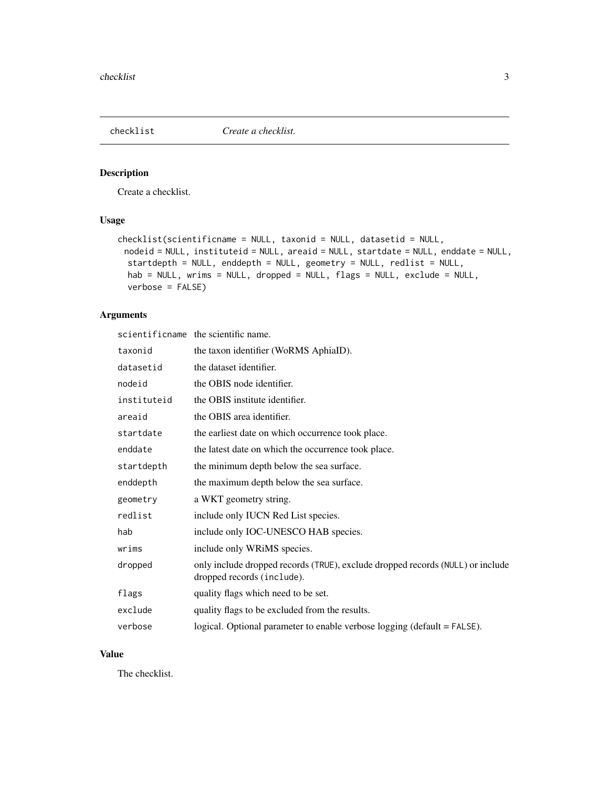<span id="page-2-0"></span>

Create a checklist.

#### Usage

```
checklist(scientificname = NULL, taxonid = NULL, datasetid = NULL,
 nodeid = NULL, instituteid = NULL, areaid = NULL, startdate = NULL, enddate = NULL,
  startdepth = NULL, enddepth = NULL, geometry = NULL, redlist = NULL,
  hab = NULL, wrims = NULL, dropped = NULL, flags = NULL, exclude = NULL,
  verbose = FALSE)
```
#### Arguments

|             | scientificname the scientific name.                                                                          |
|-------------|--------------------------------------------------------------------------------------------------------------|
| taxonid     | the taxon identifier (WoRMS AphiaID).                                                                        |
| datasetid   | the dataset identifier.                                                                                      |
| nodeid      | the OBIS node identifier.                                                                                    |
| instituteid | the OBIS institute identifier.                                                                               |
| areaid      | the OBIS area identifier.                                                                                    |
| startdate   | the earliest date on which occurrence took place.                                                            |
| enddate     | the latest date on which the occurrence took place.                                                          |
| startdepth  | the minimum depth below the sea surface.                                                                     |
| enddepth    | the maximum depth below the sea surface.                                                                     |
| geometry    | a WKT geometry string.                                                                                       |
| redlist     | include only IUCN Red List species.                                                                          |
| hab         | include only IOC-UNESCO HAB species.                                                                         |
| wrims       | include only WRiMS species.                                                                                  |
| dropped     | only include dropped records (TRUE), exclude dropped records (NULL) or include<br>dropped records (include). |
| flags       | quality flags which need to be set.                                                                          |
| exclude     | quality flags to be excluded from the results.                                                               |
| verbose     | logical. Optional parameter to enable verbose logging (default = FALSE).                                     |

#### Value

The checklist.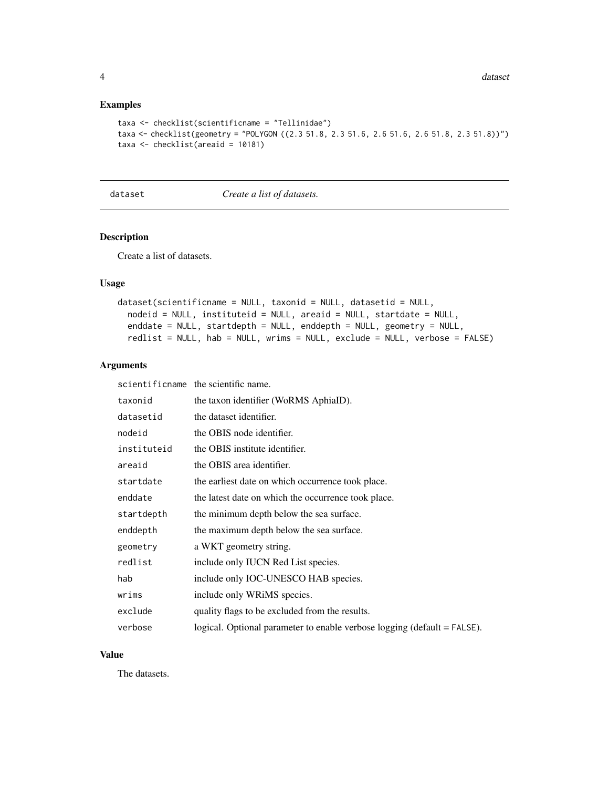4 dataset

#### Examples

```
taxa <- checklist(scientificname = "Tellinidae")
taxa <- checklist(geometry = "POLYGON ((2.3 51.8, 2.3 51.6, 2.6 51.6, 2.6 51.8, 2.3 51.8))")
taxa <- checklist(areaid = 10181)
```
dataset *Create a list of datasets.*

#### Description

Create a list of datasets.

#### Usage

```
dataset(scientificname = NULL, taxonid = NULL, datasetid = NULL,
  nodeid = NULL, instituteid = NULL, areaid = NULL, startdate = NULL,
  enddate = NULL, startdepth = NULL, enddepth = NULL, geometry = NULL,
  redlist = NULL, hab = NULL, wrims = NULL, exclude = NULL, verbose = FALSE)
```
#### Arguments

scientificname the scientific name.

| taxonid     | the taxon identifier (WoRMS AphiaID).                                    |
|-------------|--------------------------------------------------------------------------|
| datasetid   | the dataset identifier.                                                  |
| nodeid      | the OBIS node identifier.                                                |
| instituteid | the OBIS institute identifier.                                           |
| areaid      | the OBIS area identifier.                                                |
| startdate   | the earliest date on which occurrence took place.                        |
| enddate     | the latest date on which the occurrence took place.                      |
| startdepth  | the minimum depth below the sea surface.                                 |
| enddepth    | the maximum depth below the sea surface.                                 |
| geometry    | a WKT geometry string.                                                   |
| redlist     | include only IUCN Red List species.                                      |
| hab         | include only IOC-UNESCO HAB species.                                     |
| wrims       | include only WRiMS species.                                              |
| exclude     | quality flags to be excluded from the results.                           |
| verbose     | logical. Optional parameter to enable verbose logging (default = FALSE). |

#### Value

The datasets.

<span id="page-3-0"></span>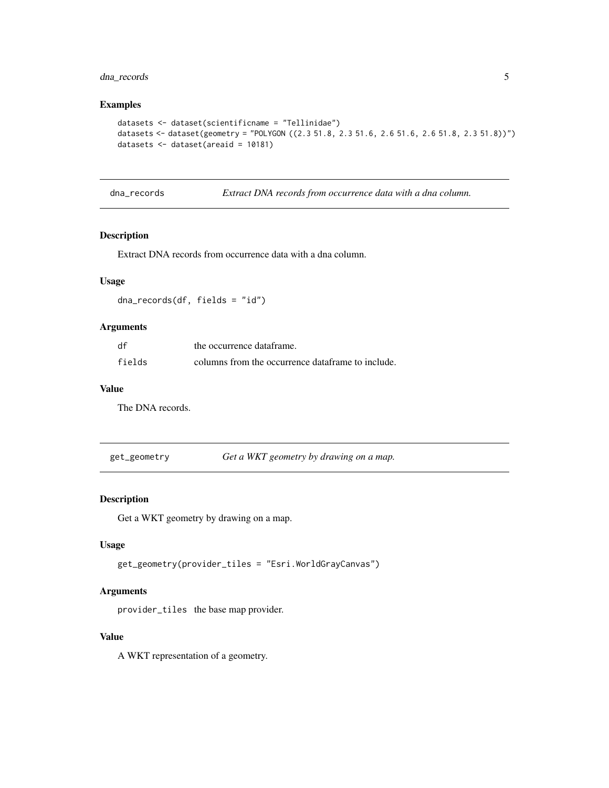#### <span id="page-4-0"></span>dna\_records 5

#### Examples

```
datasets <- dataset(scientificname = "Tellinidae")
datasets <- dataset(geometry = "POLYGON ((2.3 51.8, 2.3 51.6, 2.6 51.6, 2.6 51.8, 2.3 51.8))")
datasets <- dataset(areaid = 10181)
```
dna\_records *Extract DNA records from occurrence data with a dna column.*

#### Description

Extract DNA records from occurrence data with a dna column.

#### Usage

dna\_records(df, fields = "id")

#### Arguments

| df     | the occurrence dataframe.                         |
|--------|---------------------------------------------------|
| fields | columns from the occurrence dataframe to include. |

#### Value

The DNA records.

get\_geometry *Get a WKT geometry by drawing on a map.*

#### Description

Get a WKT geometry by drawing on a map.

#### Usage

get\_geometry(provider\_tiles = "Esri.WorldGrayCanvas")

#### Arguments

provider\_tiles the base map provider.

#### Value

A WKT representation of a geometry.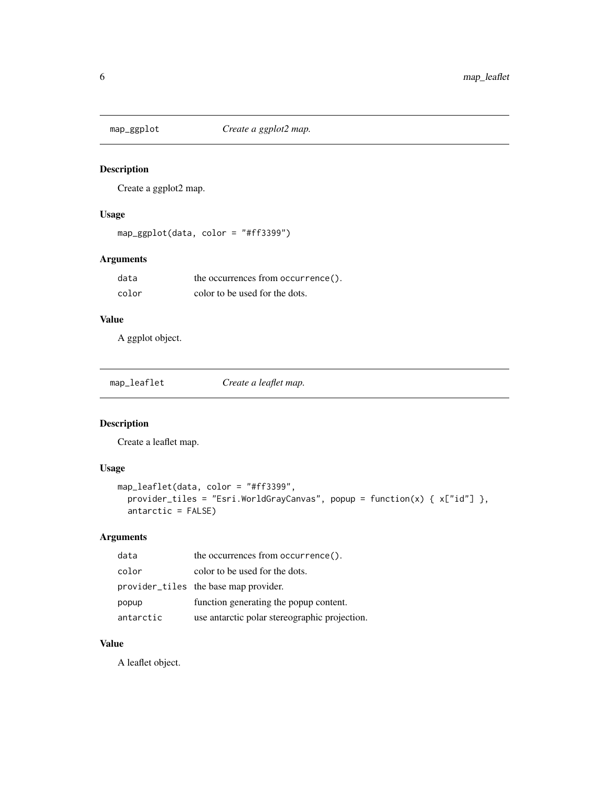<span id="page-5-0"></span>

Create a ggplot2 map.

#### Usage

```
map_ggplot(data, color = "#ff3399")
```
#### Arguments

| data  | the occurrences from occurrence(). |
|-------|------------------------------------|
| color | color to be used for the dots.     |

#### Value

A ggplot object.

| Create a leaflet map.<br>map_leaflet |
|--------------------------------------|
|--------------------------------------|

#### Description

Create a leaflet map.

#### Usage

```
map_leaflet(data, color = "#ff3399",
 provider_tiles = "Esri.WorldGrayCanvas", popup = function(x) { x["id"] },
 antarctic = FALSE)
```
#### Arguments

| data      | the occurrences from occurrence().            |
|-----------|-----------------------------------------------|
| color     | color to be used for the dots.                |
|           | provider_tiles the base map provider.         |
| popup     | function generating the popup content.        |
| antarctic | use antarctic polar stereographic projection. |

#### Value

A leaflet object.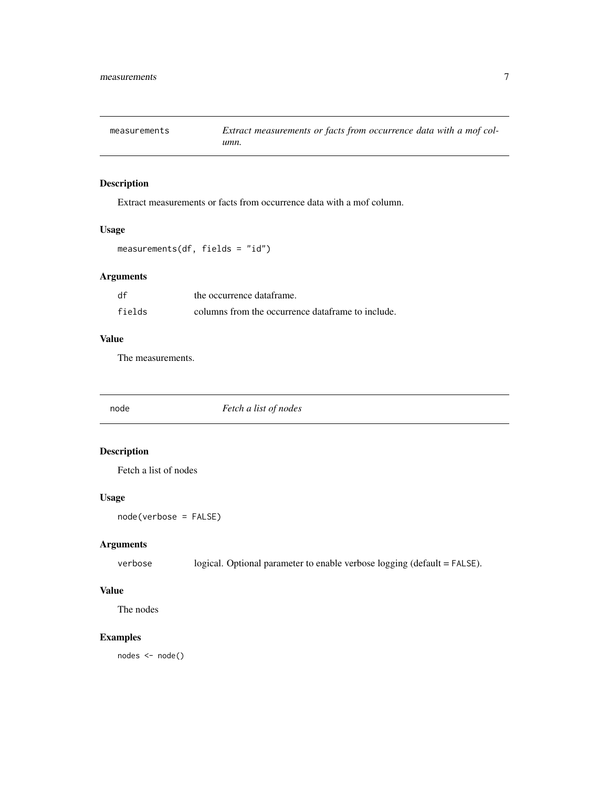<span id="page-6-0"></span>

Extract measurements or facts from occurrence data with a mof column.

#### Usage

measurements(df, fields = "id")

#### Arguments

| df     | the occurrence dataframe.                         |
|--------|---------------------------------------------------|
| fields | columns from the occurrence dataframe to include. |

#### Value

The measurements.

node *Fetch a list of nodes*

#### Description

Fetch a list of nodes

#### Usage

node(verbose = FALSE)

#### Arguments

verbose logical. Optional parameter to enable verbose logging (default = FALSE).

#### Value

The nodes

#### Examples

nodes <- node()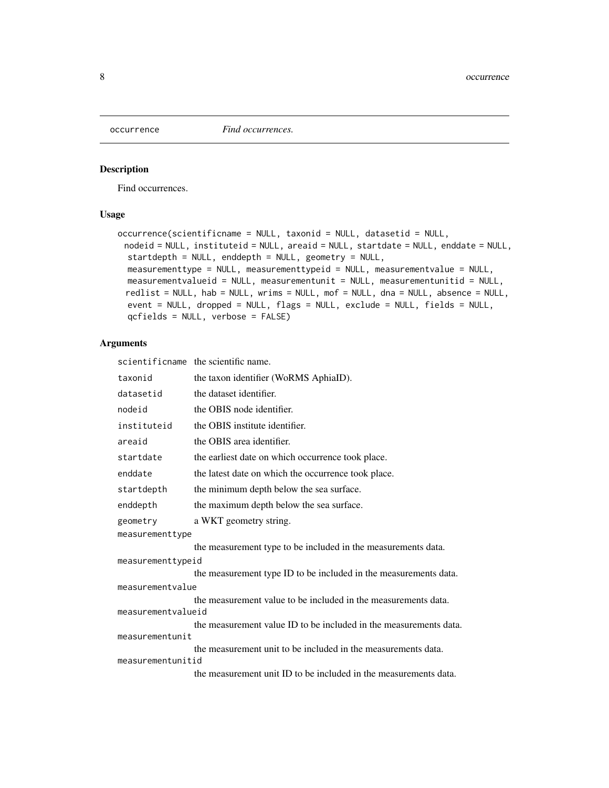<span id="page-7-0"></span>

Find occurrences.

#### Usage

```
occurrence(scientificname = NULL, taxonid = NULL, datasetid = NULL,
 nodeid = NULL, instituteid = NULL, areaid = NULL, startdate = NULL, enddate = NULL,
  startdepth = NULL, enddepth = NULL, geometry = NULL,
 measurementtype = NULL, measurementtypeid = NULL, measurementvalue = NULL,
 measurementvalueid = NULL, measurementunit = NULL, measurementunitid = NULL,
 redlist = NULL, hab = NULL, wrims = NULL, mof = NULL, dna = NULL, absence = NULL,
  event = NULL, dropped = NULL, flags = NULL, exclude = NULL, fields = NULL,
  qcfields = NULL, verbose = FALSE)
```
#### Arguments

scientificname the scientific name.

```
taxonid the taxon identifier (WoRMS AphiaID).
datasetid the dataset identifier.
node identifier.
instituteid the OBIS institute identifier.
areaid the OBIS area identifier.
startdate the earliest date on which occurrence took place.
enddate the latest date on which the occurrence took place.
startdepth the minimum depth below the sea surface.
enddepth the maximum depth below the sea surface.
geometry a WKT geometry string.
measurementtype
                the measurement type to be included in the measurements data.
measurementtypeid
                the measurement type ID to be included in the measurements data.
measurementvalue
                the measurement value to be included in the measurements data.
measurementvalueid
                the measurement value ID to be included in the measurements data.
measurementunit
                the measurement unit to be included in the measurements data.
measurementunitid
                the measurement unit ID to be included in the measurements data.
```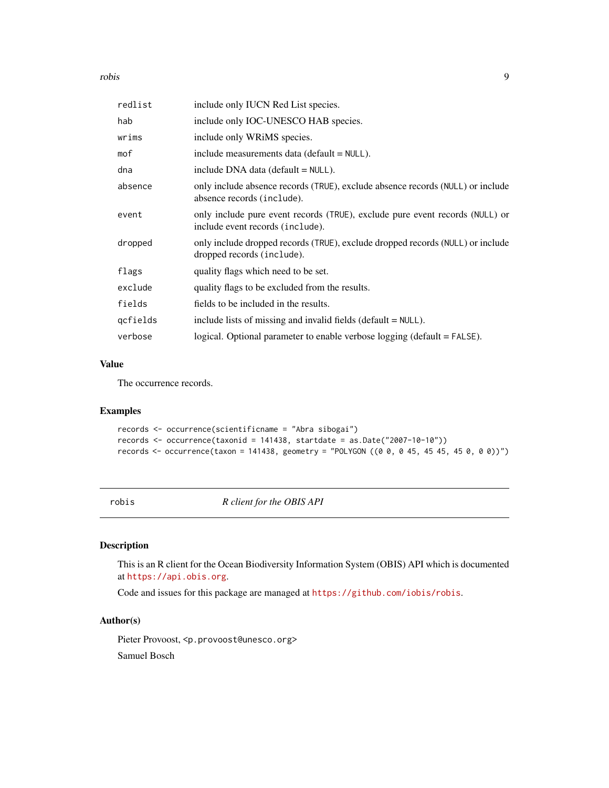<span id="page-8-0"></span>robis and the contract of the contract of the contract of the contract of the contract of the contract of the contract of the contract of the contract of the contract of the contract of the contract of the contract of the

| redlist  | include only IUCN Red List species.                                                                              |
|----------|------------------------------------------------------------------------------------------------------------------|
| hab      | include only IOC-UNESCO HAB species.                                                                             |
| wrims    | include only WRIMS species.                                                                                      |
| mof      | include measurements data (default = NULL).                                                                      |
| dna      | include DNA data (default $=$ NULL).                                                                             |
| absence  | only include absence records (TRUE), exclude absence records (NULL) or include<br>absence records (include).     |
| event    | only include pure event records (TRUE), exclude pure event records (NULL) or<br>include event records (include). |
| dropped  | only include dropped records (TRUE), exclude dropped records (NULL) or include<br>dropped records (include).     |
| flags    | quality flags which need to be set.                                                                              |
| exclude  | quality flags to be excluded from the results.                                                                   |
| fields   | fields to be included in the results.                                                                            |
| qcfields | include lists of missing and invalid fields (default $=$ NULL).                                                  |
| verbose  | logical. Optional parameter to enable verbose logging (default = FALSE).                                         |
|          |                                                                                                                  |

#### Value

The occurrence records.

#### Examples

```
records <- occurrence(scientificname = "Abra sibogai")
records <- occurrence(taxonid = 141438, startdate = as.Date("2007-10-10"))
records <- occurrence(taxon = 141438, geometry = "POLYGON ((0 0, 0 45, 45 45, 45 0, 0 0))")
```
robis *R client for the OBIS API*

#### Description

This is an R client for the Ocean Biodiversity Information System (OBIS) API which is documented at <https://api.obis.org>.

Code and issues for this package are managed at <https://github.com/iobis/robis>.

#### Author(s)

Pieter Provoost, <p.provoost@unesco.org> Samuel Bosch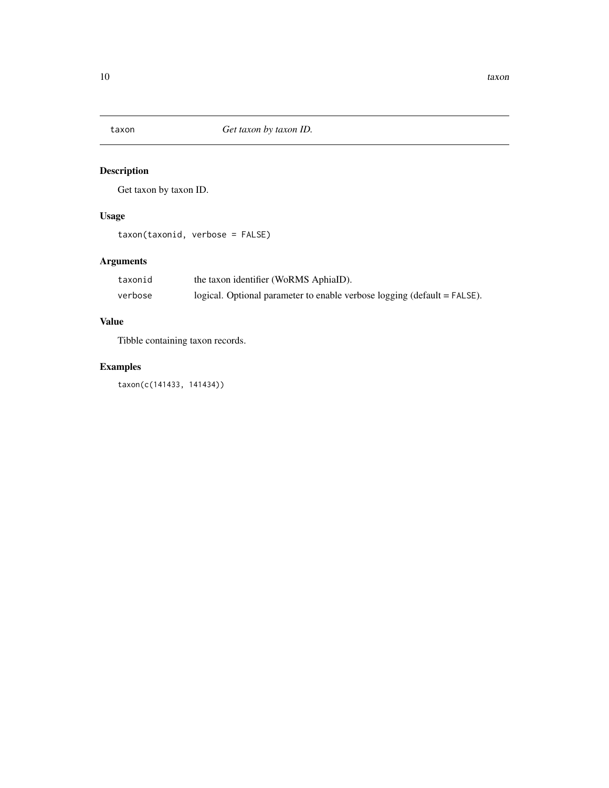<span id="page-9-0"></span>

Get taxon by taxon ID.

#### Usage

taxon(taxonid, verbose = FALSE)

## Arguments

| taxonid | the taxon identifier (WoRMS AphiaID).                                    |
|---------|--------------------------------------------------------------------------|
| verbose | logical. Optional parameter to enable verbose logging (default = FALSE). |

#### Value

Tibble containing taxon records.

## Examples

taxon(c(141433, 141434))